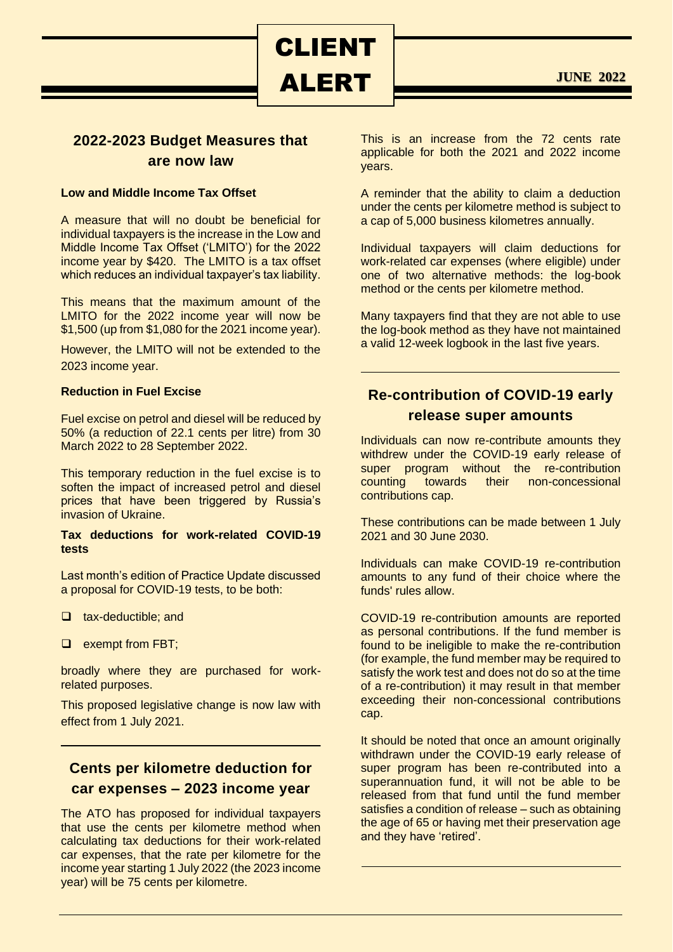ALERT

CLIENT

**JUNE 2022**

## **2022-2023 Budget Measures that are now law**

### **Low and Middle Income Tax Offset**

A measure that will no doubt be beneficial for individual taxpayers is the increase in the Low and Middle Income Tax Offset ('LMITO') for the 2022 income year by \$420. The LMITO is a tax offset which reduces an individual taxpayer's tax liability.

This means that the maximum amount of the LMITO for the 2022 income year will now be \$1,500 (up from \$1,080 for the 2021 income year).

However, the LMITO will not be extended to the 2023 income year.

### **Reduction in Fuel Excise**

Fuel excise on petrol and diesel will be reduced by 50% (a reduction of 22.1 cents per litre) from 30 March 2022 to 28 September 2022.

This temporary reduction in the fuel excise is to soften the impact of increased petrol and diesel prices that have been triggered by Russia's invasion of Ukraine.

#### **Tax deductions for work-related COVID-19 tests**

Last month's edition of Practice Update discussed a proposal for COVID-19 tests, to be both:

- ❑ tax-deductible; and
- ❑ exempt from FBT;

broadly where they are purchased for workrelated purposes.

This proposed legislative change is now law with effect from 1 July 2021.

## **Cents per kilometre deduction for car expenses – 2023 income year**

The ATO has proposed for individual taxpayers that use the cents per kilometre method when calculating tax deductions for their work-related car expenses, that the rate per kilometre for the income year starting 1 July 2022 (the 2023 income year) will be 75 cents per kilometre.

This is an increase from the 72 cents rate applicable for both the 2021 and 2022 income years.

A reminder that the ability to claim a deduction under the cents per kilometre method is subject to a cap of 5,000 business kilometres annually.

Individual taxpayers will claim deductions for work-related car expenses (where eligible) under one of two alternative methods: the log-book method or the cents per kilometre method.

Many taxpayers find that they are not able to use the log-book method as they have not maintained a valid 12-week logbook in the last five years.

# **Re-contribution of COVID-19 early release super amounts**

Individuals can now re-contribute amounts they withdrew under the COVID-19 early release of super program without the re-contribution counting towards their non-concessional contributions cap.

These contributions can be made between 1 July 2021 and 30 June 2030.

Individuals can make COVID-19 re-contribution amounts to any fund of their choice where the funds' rules allow.

COVID-19 re-contribution amounts are reported as personal contributions. If the fund member is found to be ineligible to make the re-contribution (for example, the fund member may be required to satisfy the work test and does not do so at the time of a re-contribution) it may result in that member exceeding their non-concessional contributions cap.

It should be noted that once an amount originally withdrawn under the COVID-19 early release of super program has been re-contributed into a superannuation fund, it will not be able to be released from that fund until the fund member satisfies a condition of release – such as obtaining the age of 65 or having met their preservation age and they have 'retired'.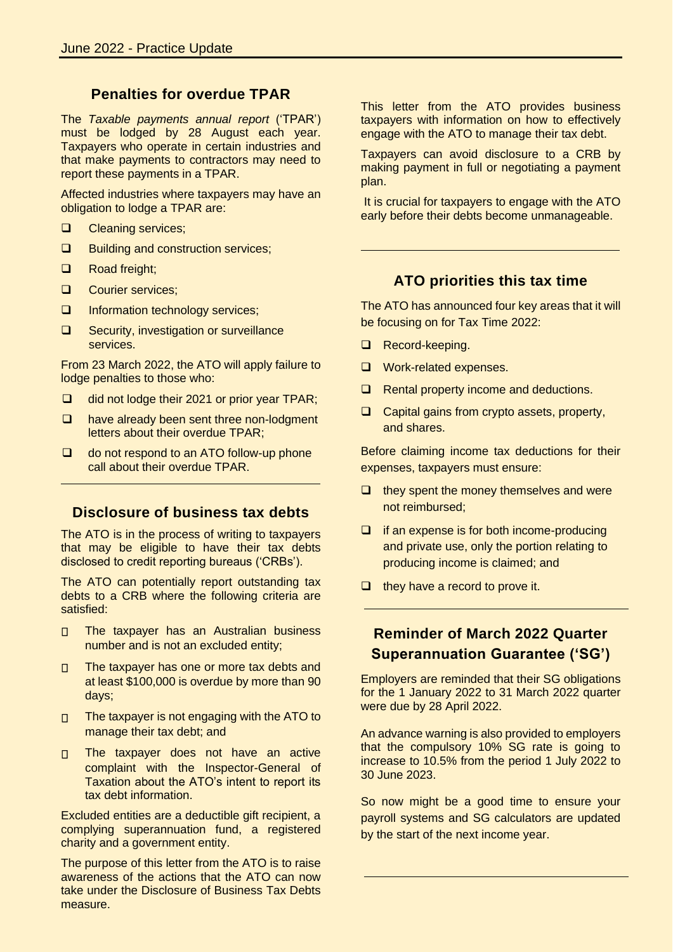### **Penalties for overdue TPAR**

The *Taxable payments annual report* ('TPAR') must be lodged by 28 August each year. Taxpayers who operate in certain industries and that make payments to contractors may need to report these payments in a TPAR.

Affected industries where taxpayers may have an obligation to lodge a TPAR are:

- ❑ Cleaning services;
- ❑ Building and construction services;
- ❑ Road freight;
- ❑ Courier services;
- ❑ Information technology services;
- ❑ Security, investigation or surveillance services.

From 23 March 2022, the ATO will apply failure to lodge penalties to those who:

- ❑ did not lodge their 2021 or prior year TPAR;
- ❑ have already been sent three non-lodgment letters about their overdue TPAR;
- ❑ do not respond to an ATO follow-up phone call about their overdue TPAR.

### **Disclosure of business tax debts**

The ATO is in the process of writing to taxpayers that may be eligible to have their tax debts disclosed to credit reporting bureaus ('CRBs').

The ATO can potentially report outstanding tax debts to a CRB where the following criteria are satisfied:

- The taxpayer has an Australian business  $\Box$ number and is not an excluded entity;
- The taxpayer has one or more tax debts and  $\Box$ at least \$100,000 is overdue by more than 90 days;
- The taxpayer is not engaging with the ATO to  $\Box$ manage their tax debt; and
- The taxpayer does not have an active  $\Box$ complaint with the Inspector-General of Taxation about the ATO's intent to report its tax debt information.

Excluded entities are a deductible gift recipient, a complying superannuation fund, a registered charity and a government entity.

The purpose of this letter from the ATO is to raise awareness of the actions that the ATO can now take under the Disclosure of Business Tax Debts measure.

This letter from the ATO provides business taxpayers with information on how to effectively engage with the ATO to manage their tax debt.

Taxpayers can avoid disclosure to a CRB by making payment in full or negotiating a payment plan.

It is crucial for taxpayers to engage with the ATO early before their debts become unmanageable.

### **ATO priorities this tax time**

The ATO has announced four key areas that it will be focusing on for Tax Time 2022:

- ❑ Record-keeping.
- ❑ Work-related expenses.
- ❑ Rental property income and deductions.
- ❑ Capital gains from crypto assets, property, and shares.

Before claiming income tax deductions for their expenses, taxpayers must ensure:

- $\Box$  they spent the money themselves and were not reimbursed;
- ❑ if an expense is for both income-producing and private use, only the portion relating to producing income is claimed; and
- ❑ they have a record to prove it.

## **Reminder of March 2022 Quarter Superannuation Guarantee ('SG')**

Employers are reminded that their SG obligations for the 1 January 2022 to 31 March 2022 quarter were due by 28 April 2022.

An advance warning is also provided to employers that the compulsory 10% SG rate is going to increase to 10.5% from the period 1 July 2022 to 30 June 2023.

So now might be a good time to ensure your payroll systems and SG calculators are updated by the start of the next income year.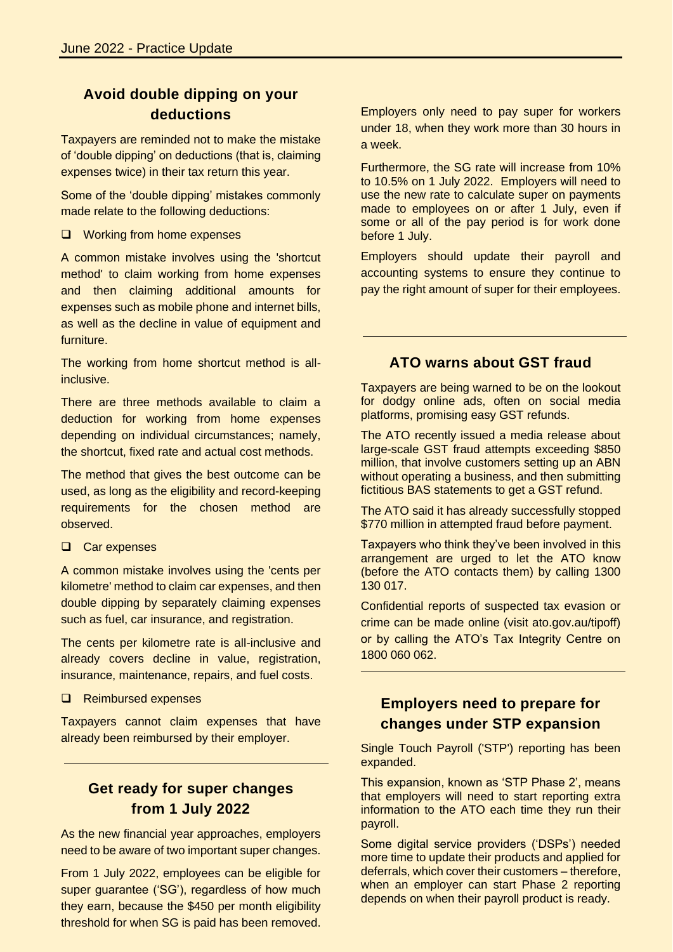# **Avoid double dipping on your deductions**

Taxpayers are reminded not to make the mistake of 'double dipping' on deductions (that is, claiming expenses twice) in their tax return this year.

Some of the 'double dipping' mistakes commonly made relate to the following deductions:

❑ Working from home expenses

A common mistake involves using the 'shortcut method' to claim working from home expenses and then claiming additional amounts for expenses such as mobile phone and internet bills, as well as the decline in value of equipment and furniture.

The working from home shortcut method is allinclusive.

There are three methods available to claim a deduction for working from home expenses depending on individual circumstances; namely, the shortcut, fixed rate and actual cost methods.

The method that gives the best outcome can be used, as long as the eligibility and record-keeping requirements for the chosen method are observed.

❑ Car expenses

A common mistake involves using the 'cents per kilometre' method to claim car expenses, and then double dipping by separately claiming expenses such as fuel, car insurance, and registration.

The cents per kilometre rate is all-inclusive and already covers decline in value, registration, insurance, maintenance, repairs, and fuel costs.

❑ Reimbursed expenses

Taxpayers cannot claim expenses that have already been reimbursed by their employer.

# **Get ready for super changes from 1 July 2022**

As the new financial year approaches, employers need to be aware of two important super changes.

From 1 July 2022, employees can be eligible for super guarantee ('SG'), regardless of how much they earn, because the \$450 per month eligibility threshold for when SG is paid has been removed. Employers only need to pay super for workers under 18, when they work more than 30 hours in a week.

Furthermore, the SG rate will increase from 10% to 10.5% on 1 July 2022. Employers will need to use the new rate to calculate super on payments made to employees on or after 1 July, even if some or all of the pay period is for work done before 1 July.

Employers should update their payroll and accounting systems to ensure they continue to pay the right amount of super for their employees.

## **ATO warns about GST fraud**

Taxpayers are being warned to be on the lookout for dodgy online ads, often on social media platforms, promising easy GST refunds.

The ATO recently issued a media release about large-scale GST fraud attempts exceeding \$850 million, that involve customers setting up an ABN without operating a business, and then submitting fictitious BAS statements to get a GST refund.

The ATO said it has already successfully stopped \$770 million in attempted fraud before payment.

Taxpayers who think they've been involved in this arrangement are urged to let the ATO know (before the ATO contacts them) by calling 1300 130 017.

Confidential reports of suspected tax evasion or crime can be made online (visit ato.gov.au/tipoff) or by calling the ATO's Tax Integrity Centre on 1800 060 062.

# **Employers need to prepare for changes under STP expansion**

Single Touch Payroll ('STP') reporting has been expanded.

This expansion, known as 'STP Phase 2', means that employers will need to start reporting extra information to the ATO each time they run their payroll.

Some digital service providers ('DSPs') needed more time to update their products and applied for deferrals, which cover their customers – therefore, when an employer can start Phase 2 reporting depends on when their payroll product is ready.